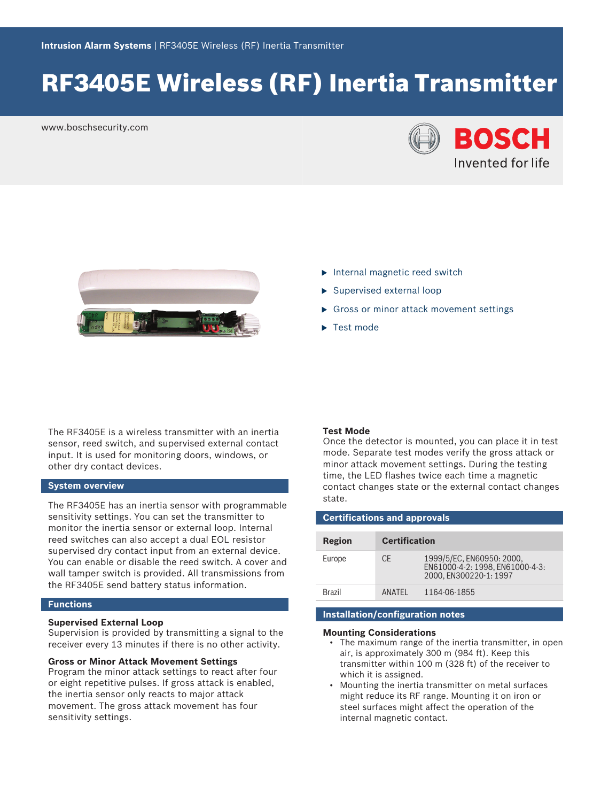# RF3405E Wireless (RF) Inertia Transmitter

www.boschsecurity.com





- $\blacktriangleright$  Internal magnetic reed switch
- $\blacktriangleright$  Supervised external loop
- $\triangleright$  Gross or minor attack movement settings
- $\blacktriangleright$  Test mode

The RF3405E is a wireless transmitter with an inertia sensor, reed switch, and supervised external contact input. It is used for monitoring doors, windows, or other dry contact devices.

# **System overview**

The RF3405E has an inertia sensor with programmable sensitivity settings. You can set the transmitter to monitor the inertia sensor or external loop. Internal reed switches can also accept a dual EOL resistor supervised dry contact input from an external device. You can enable or disable the reed switch. A cover and wall tamper switch is provided. All transmissions from the RF3405E send battery status information.

# **Functions**

# **Supervised External Loop**

Supervision is provided by transmitting a signal to the receiver every 13 minutes if there is no other activity.

#### **Gross or Minor Attack Movement Settings**

Program the minor attack settings to react after four or eight repetitive pulses. If gross attack is enabled, the inertia sensor only reacts to major attack movement. The gross attack movement has four sensitivity settings.

#### **Test Mode**

Once the detector is mounted, you can place it in test mode. Separate test modes verify the gross attack or minor attack movement settings. During the testing time, the LED flashes twice each time a magnetic contact changes state or the external contact changes state.

| <b>Certifications and approvals</b> |                      |                                                                                        |  |  |
|-------------------------------------|----------------------|----------------------------------------------------------------------------------------|--|--|
| Region                              | <b>Certification</b> |                                                                                        |  |  |
| Europe                              | CF.                  | 1999/5/EC, EN60950: 2000,<br>EN61000-4-2: 1998. EN61000-4-3:<br>2000, EN300220-1: 1997 |  |  |
| <b>Brazil</b>                       | <b>ANATFI</b>        | 1164-06-1855                                                                           |  |  |

# **Installation/configuration notes**

#### **Mounting Considerations**

- The maximum range of the inertia transmitter, in open air, is approximately 300 m (984 ft). Keep this transmitter within 100 m (328 ft) of the receiver to which it is assigned.
- Mounting the inertia transmitter on metal surfaces might reduce its RF range. Mounting it on iron or steel surfaces might affect the operation of the internal magnetic contact.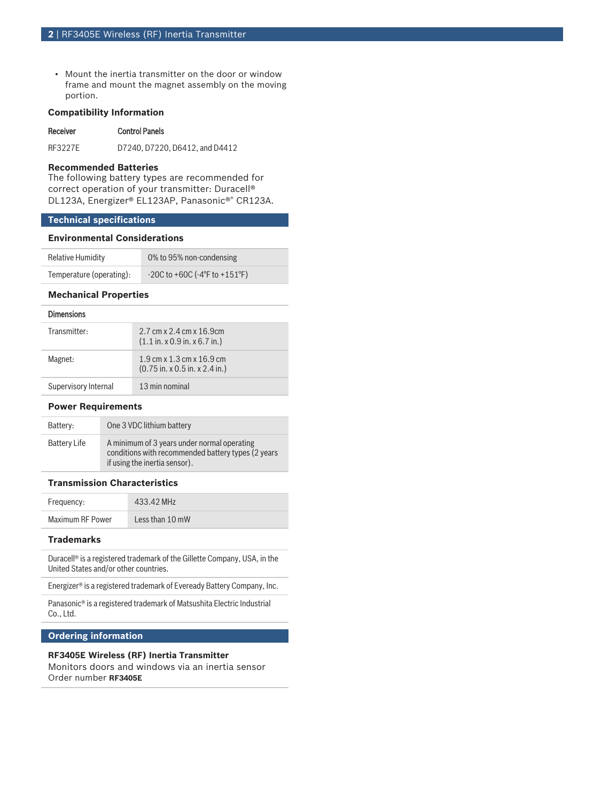• Mount the inertia transmitter on the door or window frame and mount the magnet assembly on the moving portion.

# **Compatibility Information**

#### Receiver Control Panels

RF3227E D7240, D7220, D6412, and D4412

#### **Recommended Batteries**

The following battery types are recommended for correct operation of your transmitter: Duracell® DL123A, Energizer® EL123AP, Panasonic®® CR123A.

# **Technical specifications**

#### **Environmental Considerations**

| Relative Humidity        | 0% to 95% non-condensing        |
|--------------------------|---------------------------------|
| Temperature (operating): | $-20C$ to +60C (-4°F to +151°F) |

# **Mechanical Properties**

#### Dimensions

| Transmitter:         | 2.7 cm x 2.4 cm x 16.9 cm<br>$(1.1$ in. x 0.9 in. x 6.7 in.)                                                                |
|----------------------|-----------------------------------------------------------------------------------------------------------------------------|
| Magnet:              | $1.9 \text{ cm} \times 1.3 \text{ cm} \times 16.9 \text{ cm}$<br>$(0.75 \text{ in. x } 0.5 \text{ in. x } 2.4 \text{ in.})$ |
| Supervisory Internal | 13 min nominal                                                                                                              |

#### **Power Requirements**

| Battery:     | One 3 VDC lithium battery                                                                                                          |
|--------------|------------------------------------------------------------------------------------------------------------------------------------|
| Battery Life | A minimum of 3 years under normal operating<br>conditions with recommended battery types (2 years<br>if using the inertia sensor). |

# **Transmission Characteristics**

| Frequency:       | 433.42 MHz      |
|------------------|-----------------|
| Maximum RF Power | Less than 10 mW |

### **Trademarks**

Duracell® is a registered trademark of the Gillette Company, USA, in the United States and/or other countries.

Energizer® is a registered trademark of Eveready Battery Company, Inc.

Panasonic® is a registered trademark of Matsushita Electric Industrial Co., Ltd.

# **Ordering information**

# **RF3405E Wireless (RF) Inertia Transmitter**

Monitors doors and windows via an inertia sensor Order number **RF3405E**